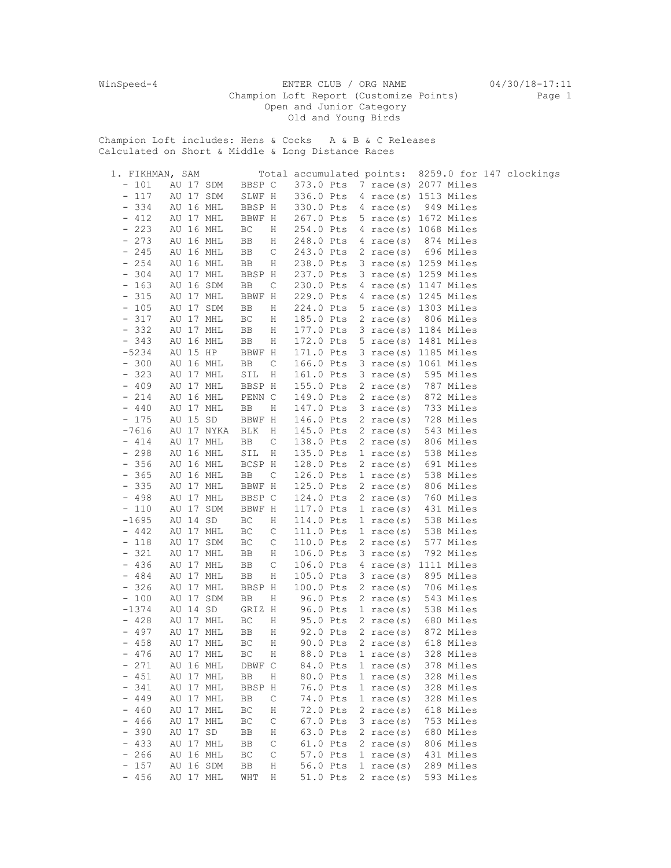WinSpeed-4 ENTER CLUB / ORG NAME 04/30/18-17:11 Champion Loft Report (Customize Points) Page 1 Open and Junior Category Old and Young Birds

Champion Loft includes: Hens & Cocks A & B & C Releases Calculated on Short & Middle & Long Distance Races

| 1. FIKHMAN, SAM                              |                     |           | Total accumulated points: |                        | 8259.0 for 147 clockings |
|----------------------------------------------|---------------------|-----------|---------------------------|------------------------|--------------------------|
| $-101$<br>AU 17 SDM                          | BBSP C              | 373.0 Pts |                           | 7 race(s) 2077 Miles   |                          |
| $-117$<br>AU 17 SDM                          | SLWF H              | 336.0 Pts |                           | 4 race(s) 1513 Miles   |                          |
| $-334$<br>AU 16 MHL                          | BBSP H              | 330.0 Pts | 4 race(s)                 | 949 Miles              |                          |
| $-412$<br>AU 17 MHL                          | BBWF H              | 267.0 Pts |                           | 5 race(s) 1672 Miles   |                          |
| $-223$<br>AU 16 MHL                          | ВC<br>Η             | 254.0 Pts |                           | 4 race(s) 1068 Miles   |                          |
| $-273$<br>AU 16 MHL                          | BB<br>Η             | 248.0 Pts | 4 race(s)                 | 874 Miles              |                          |
| $-245$<br>AU 16 MHL                          | C<br>BB             | 243.0 Pts | 2 race(s)                 | 696 Miles              |                          |
| $-254$<br>AU 16 MHL                          | BB<br>Η             | 238.0 Pts |                           | 3 race(s) 1259 Miles   |                          |
| 304<br>AU 17 MHL<br>$\overline{\phantom{a}}$ | BBSP H              | 237.0 Pts |                           | 3 race(s) 1259 Miles   |                          |
| 163<br>AU 16 SDM<br>$\qquad \qquad -$        | BB<br>C             | 230.0 Pts |                           | 4 race(s) 1147 Miles   |                          |
| 315<br>AU 17 MHL<br>$\qquad \qquad -$        | BBWF H              | 229.0 Pts |                           | 4 race(s) 1245 Miles   |                          |
| $-105$<br>AU 17 SDM                          | BB<br>Η             | 224.0 Pts |                           | $5$ race(s) 1303 Miles |                          |
| $-317$<br>AU 17 MHL                          | ВC<br>Η             | 185.0 Pts | 2 race(s)                 | 806 Miles              |                          |
| $-332$<br>AU 17 MHL                          | Η<br>BB             | 177.0 Pts |                           | 3 race(s) 1184 Miles   |                          |
| $-343$<br>AU 16 MHL                          | BB<br>Η             | 172.0 Pts |                           | 5 race(s) 1481 Miles   |                          |
| $-5234$<br>AU 15 HP                          | BBWF H              | 171.0 Pts |                           | 3 race(s) 1185 Miles   |                          |
| $-300$<br>AU 16 MHL                          | BB<br>C             | 166.0 Pts |                           | 3 race(s) 1061 Miles   |                          |
| $-323$<br>AU 17 MHL                          | $\texttt{SIL}$<br>Η | 161.0 Pts | 3 race(s)                 | 595 Miles              |                          |
| $-409$<br>AU 17 MHL                          | BBSP H              | 155.0 Pts | 2 race $(s)$              | 787 Miles              |                          |
| $-214$<br>AU 16 MHL                          | PENN C              | 149.0 Pts | $2 \text{ race}(s)$       | 872 Miles              |                          |
| $-440$<br>AU 17 MHL                          | Η<br>BB             | 147.0 Pts | $3 \text{ race}(s)$       | 733 Miles              |                          |
| $-175$<br>AU 15 SD                           | BBWF H              | 146.0 Pts | $2 \text{ race}(s)$       | 728 Miles              |                          |
| $-7616$<br>AU 17 NYKA                        | BLK<br>Η            | 145.0 Pts | 2 race(s)                 | 543 Miles              |                          |
| $-414$<br>AU 17 MHL                          | BB<br>C             | 138.0 Pts | 2 race(s)                 | 806 Miles              |                          |
| $-298$<br>AU 16 MHL                          | SIL<br>Η            | 135.0 Pts | 1 race $(s)$              | 538 Miles              |                          |
| $-356$<br>AU 16 MHL                          | BCSP H              | 128.0 Pts | 2 race(s)                 | 691 Miles              |                          |
| $-365$<br>AU 16 MHL                          | C<br>BB             | 126.0 Pts | $1 \text{ race}(s)$       | 538 Miles              |                          |
| $-335$<br>AU 17 MHL                          | BBWF H              | 125.0 Pts | 2 race(s)                 | 806 Miles              |                          |
| $-498$<br>AU 17 MHL                          | BBSP C              | 124.0 Pts | $2 \text{ race}(s)$       | 760 Miles              |                          |
| $-110$<br>AU 17 SDM                          | BBWF H              | 117.0 Pts | $1 \text{ race}(s)$       | 431 Miles              |                          |
| $-1695$<br>AU 14 SD                          | ВC<br>Η             | 114.0 Pts | 1 race $(s)$              | 538 Miles              |                          |
| $-442$<br>AU 17 MHL                          | C<br>ВC             | 111.0 Pts | $1 \text{ race}(s)$       | 538 Miles              |                          |
| $-118$<br>AU 17 SDM                          | C<br>ВC             | 110.0 Pts | 2 race(s)                 | 577 Miles              |                          |
| 321<br>AU 17 MHL<br>$\qquad \qquad -$        | Η<br>BB             | 106.0 Pts | $3 \text{ race}(s)$       | 792 Miles              |                          |
| $-436$<br>AU 17 MHL                          | С<br>BB             | 106.0 Pts | 4 race(s)                 | 1111 Miles             |                          |
| $-484$<br>AU 17 MHL                          | Η<br>BB             | 105.0 Pts | 3 race(s)                 | 895 Miles              |                          |
| $-326$<br>AU 17 MHL                          | BBSP H              | 100.0 Pts | 2 race(s)                 | 706 Miles              |                          |
| $-100$<br>AU 17 SDM                          | BB<br>Η             | 96.0 Pts  | $2 \text{ race}(s)$       | 543 Miles              |                          |
| $-1374$<br>AU 14 SD                          | GRIZ H              | 96.0 Pts  | 1 race $(s)$              | 538 Miles              |                          |
| $-428$<br>AU 17 MHL                          | ВC<br>Η             | 95.0 Pts  | $2 \text{ race}(s)$       | 680 Miles              |                          |
| $-497$<br>AU 17 MHL                          | BB<br>Η             | 92.0 Pts  | 2 race $(s)$              | 872 Miles              |                          |
| $-458$<br>AU 17 MHL                          | ВC<br>Η             | 90.0 Pts  | $2 \text{ race}(s)$       | 618 Miles              |                          |
| AU 17 MHL<br>476                             | BC.<br>Η            | 88.0 Pts  | $1 \text{ race}(s)$       | 328 Miles              |                          |
| AU 16 MHL<br>271                             | DBWF C              | 84.0 Pts  | 1 race $(s)$              | 378 Miles              |                          |
| 451<br>AU 17 MHL<br>-                        | BB<br>Η             | 80.0 Pts  | 1 race $(s)$              | 328 Miles              |                          |
| 341<br>AU 17 MHL                             | BBSP H              | 76.0 Pts  | 1 race $(s)$              | 328 Miles              |                          |
| 449<br>AU 17 MHL<br>-                        | $\mathsf C$<br>BB   | 74.0 Pts  | 1 race $(s)$              | 328 Miles              |                          |
| AU 17 MHL<br>460                             | ВC<br>Η             | 72.0 Pts  | 2 race $(s)$              | 618 Miles              |                          |
| 466<br>AU 17 MHL                             | ВC<br>$\mathsf C$   | 67.0 Pts  | $3 \text{ race}(s)$       | 753 Miles              |                          |
| AU 17 SD<br>390                              | Η<br>BB             | 63.0 Pts  | 2 race $(s)$              | 680 Miles              |                          |
| AU 17 MHL<br>433<br>-                        | $\mathsf C$<br>BB   | 61.0 Pts  | 2 race $(s)$              | 806 Miles              |                          |
| 266<br>AU 16 MHL<br>-                        | $\mathsf C$<br>ВC   | 57.0 Pts  | 1 race $(s)$              | 431 Miles              |                          |
| 157<br>AU 16 SDM                             | BB<br>Η             | 56.0 Pts  | 1 race $(s)$              | 289 Miles              |                          |
| 456<br>AU 17 MHL                             | WHT<br>Η            | 51.0 Pts  | $2 \text{ race}(s)$       | 593 Miles              |                          |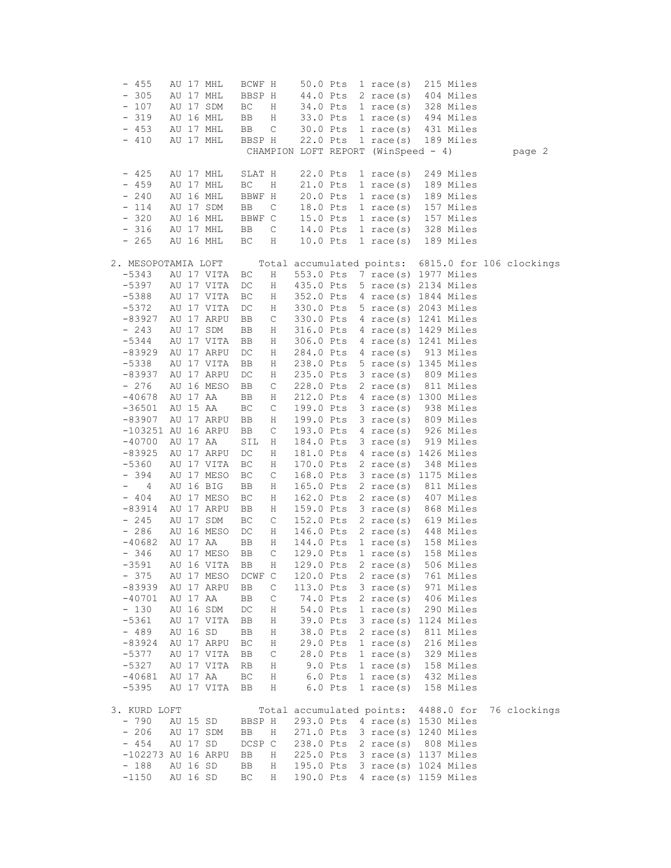| $-455$               | AU 17 MHL              | BCWF H           |             | 50.0 Pts              |           | $1 \text{ race}(s)$                 | 215 Miles              |                                                    |
|----------------------|------------------------|------------------|-------------|-----------------------|-----------|-------------------------------------|------------------------|----------------------------------------------------|
| $-305$               | AU 17 MHL              | BBSP H           |             |                       | 44.0 Pts  | $2 \text{ race}(s)$                 | 404 Miles              |                                                    |
| $-107$               | AU 17 SDM              | ВC               | H           |                       | 34.0 Pts  | $1 \text{ race}(s)$                 | 328 Miles              |                                                    |
| $-319$               | AU 16 MHL              | BB               | H           |                       | 33.0 Pts  | $1 \text{ race}(s)$                 | 494 Miles              |                                                    |
| $-453$               | AU 17 MHL              | BB               | С           |                       | 30.0 Pts  | $1 \text{ race}(s)$                 | 431 Miles              |                                                    |
| $-410$               | AU 17 MHL              | BBSP H           |             | 22.0 Pts              |           | $1 \text{ race}(s)$                 | 189 Miles              |                                                    |
|                      |                        |                  |             |                       |           | CHAMPION LOFT REPORT (WinSpeed - 4) |                        | page 2                                             |
|                      |                        |                  |             |                       |           |                                     |                        |                                                    |
| $-425$               | AU 17 MHL              | SLAT H           |             | 22.0 Pts              |           | $1 \text{ race}(s)$                 | 249 Miles              |                                                    |
| $-459$               | AU 17 MHL              | ВC               | Η           |                       | 21.0 Pts  | $1 \text{ race}(s)$                 | 189 Miles              |                                                    |
| $-240$               | AU 16 MHL              | BBWF H           |             |                       | 20.0 Pts  | 1 race $(s)$                        | 189 Miles              |                                                    |
| $-114$               | AU 17 SDM              | BB               | С           |                       | 18.0 Pts  | $1 \text{ race}(s)$                 | 157 Miles              |                                                    |
| $-320$               | AU 16 MHL              | BBWF C           |             |                       | 15.0 Pts  | $1 \text{ race}(s)$                 | 157 Miles              |                                                    |
| $-316$               | AU 17 MHL              | BB               | C           |                       | 14.0 Pts  | $1 \text{ race}(s)$                 | 328 Miles              |                                                    |
| $-265$               | AU 16 MHL              | ВC               | Η           | 10.0 Pts              |           | $1 \text{ race}(s)$                 | 189 Miles              |                                                    |
|                      |                        |                  |             |                       |           |                                     |                        |                                                    |
| 2. MESOPOTAMIA LOFT  |                        |                  |             |                       |           |                                     |                        | Total accumulated points: 6815.0 for 106 clockings |
| $-5343$              | AU 17 VITA             | ВC               | Η           |                       |           | 553.0 Pts 7 race(s) 1977 Miles      |                        |                                                    |
| -5397                | AU 17 VITA             | DC               | Η           | 435.0 Pts             |           | 5 race(s) 2134 Miles                |                        |                                                    |
| $-5388$              | AU 17 VITA             | ВC               | H           | 352.0 Pts             |           | 4 race(s) 1844 Miles                |                        |                                                    |
| $-5372$              | AU 17 VITA             | $_{\mathrm{DC}}$ | H           | 330.0 Pts             |           | 5 race(s) 2043 Miles                |                        |                                                    |
| $-83927$             | AU 17 ARPU             | BB               | С           | 330.0 Pts             |           | 4 race(s) 1241 Miles                |                        |                                                    |
| $-243$               | AU 17 SDM              | BB               | Η           | 316.0 Pts             |           | 4 race(s) 1429 Miles                |                        |                                                    |
| $-5344$              | AU 17 VITA             | BB               | Η           | 306.0 Pts             |           | 4 race(s) 1241 Miles                |                        |                                                    |
| $-83929$             | AU 17 ARPU             | DC               | Η           | 284.0 Pts             |           | 4 race(s)                           | 913 Miles              |                                                    |
| $-5338$              | AU 17 VITA             | BB               | Η           | 238.0 Pts             |           | 5 race(s) $1345$ Miles              |                        |                                                    |
| $-83937$             | AU 17 ARPU             | DC               | Η           | 235.0 Pts             |           | 3 race(s) 809 Miles                 |                        |                                                    |
| $-276$               | AU 16 MESO             | BB               | $\mathsf C$ | 228.0 Pts             |           | 2 race $(s)$                        | 811 Miles              |                                                    |
| $-40678$             | AU 17 AA               | ВB               | Η           | 212.0 Pts             |           | 4 race(s) 1300 Miles                |                        |                                                    |
| $-36501$             | AU 15 AA               | ВC               | С           | 199.0 Pts             |           | $3 \text{ race}(s)$                 | 938 Miles              |                                                    |
| $-83907$             | AU 17 ARPU             | BB               | Η           | 199.0 Pts             |           | 3 race(s)                           | 809 Miles              |                                                    |
| $-103251$ AU 16 ARPU |                        | BB               | С           | 193.0 Pts             |           | 4 race(s)                           | 926 Miles              |                                                    |
| $-40700$             | AU 17 AA               | SIL              | Η           | 184.0 Pts             |           | 3 race(s)                           | 919 Miles              |                                                    |
| $-83925$             | AU 17 ARPU             | DC               | Η           | 181.0 Pts             |           | 4 race(s) 1426 Miles                |                        |                                                    |
| $-5360$              | AU 17 VITA             | ВC               | Η           | 170.0 Pts             |           | 2 race(s)                           | 348 Miles              |                                                    |
| $-394$               | AU 17 MESO             | ВC               | С           | 168.0 Pts             |           | 3 race(s) 1175 Miles                |                        |                                                    |
| 4<br>$\sim$          | AU 16 BIG              | BB               | Η           | 165.0 Pts             |           | $2 \text{ race}(s)$                 | 811 Miles              |                                                    |
| $-404$               | AU 17 MESO             | ВC               | Η           | 162.0 Pts             |           | 2 race(s)                           | 407 Miles              |                                                    |
| $-83914$             | AU 17 ARPU             | BB               | H           | 159.0 Pts             |           | 3 race(s)                           | 868 Miles              |                                                    |
| $-245$               | AU 17 SDM              | ВC               | С           | 152.0 Pts             |           | $2 \text{ race}(s)$                 | 619 Miles              |                                                    |
| $-286$               | AU 16 MESO             | $_{\mathrm{DC}}$ | Η           | 146.0 Pts             |           | 2 race $(s)$                        | 448 Miles              |                                                    |
| $-40682$             | AU 17 AA               | ВB               | Η           | 144.0 Pts             |           | $1 \text{ race}(s)$                 | 158 Miles              |                                                    |
| $-346$               | AU 17 MESO             | BB               | С           | 129.0 Pts             |           | $1 \text{ race}(s)$                 | 158 Miles              |                                                    |
| $-3591$              | AU 16 VITA             | BB               | Η           | 129.0 Pts             |           | 2 race $(s)$                        | 506 Miles              |                                                    |
| $-375$<br>$-83939$   | AU 17 MESO             | DCWF C           |             | 120.0 Pts             |           | 2 race $(s)$                        | 761 Miles<br>971 Miles |                                                    |
|                      | AU 17 ARPU             | BB               | С           | 113.0 Pts<br>74.0 Pts |           | $3 \text{ race}(s)$                 |                        |                                                    |
| $-40701$<br>$-130$   | AU 17 AA<br>AU 16 SDM  | BB               | С           |                       |           | 2 race $(s)$<br>$1 \text{ race}(s)$ | 406 Miles<br>290 Miles |                                                    |
| $-5361$              | AU 17 VITA             | DC<br>BB         | Η<br>Η      | 54.0 Pts<br>39.0 Pts  |           | $3 \text{ race(s)}$                 | 1124 Miles             |                                                    |
|                      |                        |                  |             | 38.0 Pts              |           |                                     |                        |                                                    |
| $-489$<br>$-83924$   | AU 16 SD<br>AU 17 ARPU | BB<br>ВC         | Η<br>Η      | 29.0 Pts              |           | 2 race $(s)$<br>$1 \text{ race}(s)$ | 811 Miles<br>216 Miles |                                                    |
| -5377                | AU 17 VITA             | BB               | С           | 28.0 Pts              |           | 1 race $(s)$                        | 329 Miles              |                                                    |
| $-5327$              | AU 17 VITA             | RB               | Η           |                       | $9.0$ Pts | 1 race $(s)$                        | 158 Miles              |                                                    |
| $-40681$             | AU 17 AA               | ВC               | H           |                       | $6.0$ Pts | 1 race $(s)$                        | 432 Miles              |                                                    |
| $-5395$              | AU 17 VITA             | BB               | H           |                       | $6.0$ Pts | $1 \text{ race}(s)$                 | 158 Miles              |                                                    |
|                      |                        |                  |             |                       |           |                                     |                        |                                                    |
| 3. KURD LOFT         |                        |                  |             |                       |           | Total accumulated points:           | 4488.0 for             | 76 clockings                                       |
| $-790$               | AU 15 SD               | BBSP H           |             | 293.0 Pts             |           | 4 race(s) 1530 Miles                |                        |                                                    |
| $-206$               | AU 17 SDM              | BB               | Η           | 271.0 Pts             |           | 3 race(s) 1240 Miles                |                        |                                                    |
| $-454$               | AU 17 SD               | DCSP C           |             | 238.0 Pts             |           | $2 \text{ race}(s)$                 | 808 Miles              |                                                    |
| $-102273$ AU 16 ARPU |                        | BB               | Η           | 225.0 Pts             |           | 3 race(s) 1137 Miles                |                        |                                                    |
| $-188$               | AU 16 SD               | BB               | Η           | 195.0 Pts             |           | 3 race(s) 1024 Miles                |                        |                                                    |
| $-1150$              | AU 16 SD               | ВC               | Η           | 190.0 Pts             |           | 4 race(s) 1159 Miles                |                        |                                                    |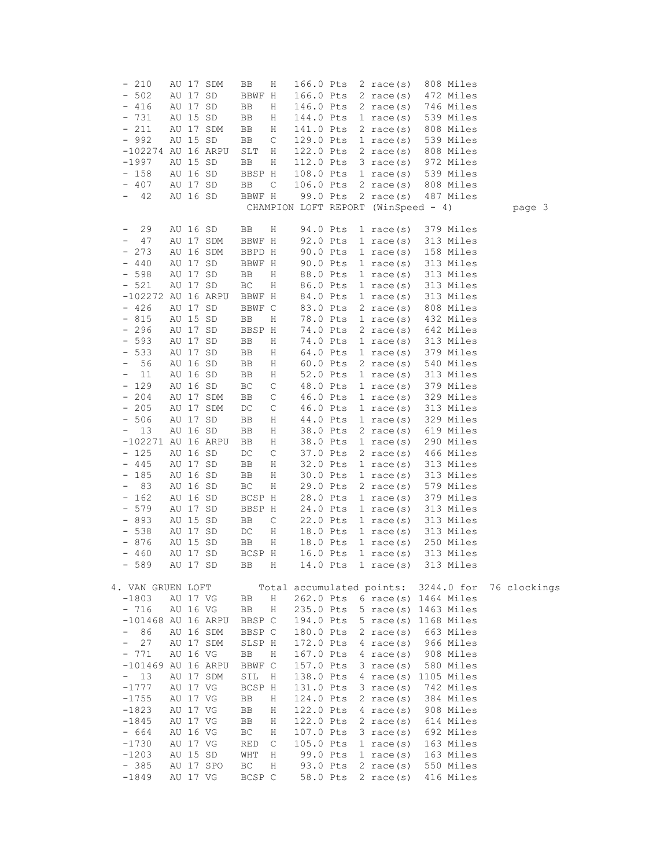| $-210$                          |          |                      | AU 17 SDM              | ВB                  | Η            | 166.0 Pts              |  | $2 \text{ race}(s)$                        | 808 Miles                              |              |
|---------------------------------|----------|----------------------|------------------------|---------------------|--------------|------------------------|--|--------------------------------------------|----------------------------------------|--------------|
| 502<br>-                        |          | AU 17 SD             |                        | BBWF H              |              | 166.0 Pts              |  | $2 \text{ race}(s)$                        | 472 Miles                              |              |
| $-416$                          |          | AU 17 SD             |                        | ВB                  | Η            | 146.0 Pts              |  | $2 \text{ race}(s)$                        | 746 Miles                              |              |
| 731<br>$\qquad \qquad -$        |          | AU 15 SD             |                        | ВB                  | Η            | 144.0 Pts              |  | $1 \text{ race}(s)$                        | 539 Miles                              |              |
| $-211$                          |          |                      | AU 17 SDM              | ВB                  | Η            | 141.0 Pts              |  | $2 \text{ race}(s)$                        | 808 Miles                              |              |
| $-992$                          |          | AU 15 SD             |                        | ВB                  | С            | 129.0 Pts              |  | $1 \text{ race}(s)$                        | 539 Miles                              |              |
| $-102274$ AU 16 ARPU            |          |                      |                        | SLT                 | Η            | 122.0 Pts              |  | $2 \text{ race}(s)$                        | 808 Miles                              |              |
| $-1997$                         |          | AU 15 SD             |                        | BB                  | Η            | 112.0 Pts              |  | $3 \text{ race}(s)$                        | 972 Miles                              |              |
| $-158$                          |          | AU 16 SD             |                        | BBSP H              |              | 108.0 Pts              |  | $1 \text{ race}(s)$                        | 539 Miles                              |              |
| $-407$                          |          | AU 17 SD             |                        | ВB                  | С            | 106.0 Pts              |  | 2 race $(s)$                               | 808 Miles                              |              |
| $4\,2$<br>-                     |          | AU 16 SD             |                        | BBWF H              |              | 99.0 Pts               |  | $2 \text{ race}(s)$                        | 487 Miles                              |              |
|                                 |          |                      |                        |                     |              |                        |  | CHAMPION LOFT REPORT (WinSpeed - 4)        |                                        | page 3       |
|                                 |          |                      |                        |                     |              |                        |  |                                            |                                        |              |
| 29                              |          | AU 16 SD             |                        | BB                  | $\rm H$      | 94.0 Pts               |  | 1 race $(s)$                               | 379 Miles                              |              |
| 47<br>—                         |          |                      | AU 17 SDM              | BBWF H              |              | 92.0 Pts               |  | $1 \text{ race}(s)$                        | 313 Miles                              |              |
| 273<br>$\qquad \qquad -$        |          |                      | AU 16 SDM              | BBPD H              |              | 90.0 Pts               |  | $1 \text{ race}(s)$                        | 158 Miles                              |              |
| 440<br>$\qquad \qquad =$        |          | AU 17 SD             |                        | BBWF H              |              | 90.0 Pts               |  | $1 \text{ race}(s)$                        | 313 Miles                              |              |
| $-598$                          |          | AU 17 SD             |                        | ВB                  | Η            | 88.0 Pts               |  | $1 \text{ race}(s)$                        | 313 Miles                              |              |
| $-521$                          |          | AU 17 SD             |                        | $\operatorname{BC}$ | Η            | 86.0 Pts               |  | 1 race(s)                                  | 313 Miles                              |              |
| -102272 AU 16 ARPU              |          |                      |                        | BBWF H              |              | 84.0 Pts               |  | $1 \text{ race}(s)$                        | 313 Miles                              |              |
| $-426$                          | AU 17 SD |                      |                        | BBWF C              |              | 83.0 Pts               |  | 2 race(s)                                  | 808 Miles                              |              |
| $-815$                          |          | AU 15 SD             |                        | ВB                  | Η            | 78.0 Pts               |  | 1 race(s)                                  | 432 Miles                              |              |
| $-296$                          |          | AU 17 SD             |                        | BBSP H              |              | 74.0 Pts               |  | $2 \text{ race}(s)$                        | 642 Miles                              |              |
| 593<br>$-$                      | AU 17 SD |                      |                        | BB                  | Η            | 74.0 Pts               |  | $1 \text{ race}(s)$                        | 313 Miles                              |              |
| $-533$                          |          | AU 17 SD             |                        | ВB                  | Η            | 64.0 Pts               |  | $1 \text{ race}(s)$                        | 379 Miles                              |              |
| 56                              |          | AU 16 SD             |                        | ВB                  | Η            | 60.0 Pts               |  | 2 race(s)                                  | 540 Miles                              |              |
| 11<br>—                         |          | AU 16 SD             |                        | ВB                  | Η            | 52.0 Pts               |  | $1 \text{ race}(s)$                        | 313 Miles                              |              |
| 129<br>$\overline{\phantom{a}}$ |          | AU 16 SD             |                        | ВC                  | С            | 48.0 Pts               |  | $1 \text{ race}(s)$                        | 379 Miles                              |              |
| $-204$                          |          |                      | AU 17 SDM              | ВB                  | С            | 46.0 Pts               |  | 1 race(s)                                  | 329 Miles                              |              |
| $-205$                          |          |                      | AU 17 SDM              | DC                  | С            | 46.0 Pts               |  | $1 \text{ race}(s)$                        | 313 Miles                              |              |
| $-506$                          |          | AU 17 SD             |                        | ВB                  | H            | 44.0 Pts               |  | $1 \text{ race}(s)$                        | 329 Miles                              |              |
| 13                              |          | AU 16 SD             |                        | ВB                  | Η            | 38.0 Pts               |  | 2 race(s)                                  | 619 Miles                              |              |
| $-102271$ AU 16 ARPU            |          |                      |                        | BB                  | Η            | 38.0 Pts               |  | $1 \text{ race}(s)$                        | 290 Miles                              |              |
| $-125$                          |          | AU 16 SD             |                        | DC                  | $\mathsf C$  | 37.0 Pts               |  | $2 \text{ race}(s)$                        | 466 Miles                              |              |
| $-445$                          |          | AU 17 SD             |                        | ВB                  | Η            | 32.0 Pts               |  | 1 race(s)                                  | 313 Miles                              |              |
| $-185$                          |          | AU 16 SD             |                        | BB                  | Η            | 30.0 Pts               |  | $1 \text{ race}(s)$                        | 313 Miles                              |              |
| 83<br><sup>-</sup>              |          | AU 16 SD             |                        | $\operatorname{BC}$ | Η            | 29.0 Pts               |  | 2 race(s)                                  | 579 Miles                              |              |
| 162<br>$\overline{\phantom{a}}$ |          | AU 16 SD             |                        | BCSP H              |              | 28.0 Pts               |  | $1 \text{ race}(s)$                        | 379 Miles                              |              |
| $-579$                          |          | AU 17 SD             |                        | BBSP H              |              | 24.0 Pts               |  | 1 race(s)                                  | 313 Miles                              |              |
| $-893$                          |          | AU 15 SD             |                        | ВB                  | С            | 22.0 Pts               |  | $1 \text{ race}(s)$                        | 313 Miles                              |              |
| 538                             |          | AU 17 SD             |                        | DC                  | Η            | 18.0 Pts               |  | $1 \text{ race}(s)$                        | 313 Miles                              |              |
| $-876$                          |          | AU 15 SD             |                        | ВB                  | Η            | 18.0 Pts               |  | $1 \text{ race}(s)$                        | 250 Miles                              |              |
| $-460$                          |          | AU 17 SD             |                        | BCSP H              |              | 16.0 Pts               |  | $1 \text{ race}(s)$                        | 313 Miles                              |              |
| $-589$                          |          | AU 17 SD             |                        | BB                  | Η            | 14.0 Pts               |  | $1 \text{ race}(s)$                        | 313 Miles                              |              |
|                                 |          |                      |                        |                     |              |                        |  |                                            | Total accumulated points: 3244.0 for   |              |
| 4. VAN GRUEN LOFT<br>$-1803$    | AU 17 VG |                      |                        | BB                  | $\, {\rm H}$ | 262.0 Pts              |  |                                            | $6 \text{ race(s)} 1464 \text{ Miles}$ | 76 clockings |
|                                 |          |                      |                        |                     |              | 235.0 Pts              |  |                                            | $5$ race(s) 1463 Miles                 |              |
| $-716$                          |          | AU 16 VG             |                        | BB                  | Η            |                        |  |                                            |                                        |              |
| $-101468$ AU 16 ARPU            |          |                      |                        | BBSP C              |              | 194.0 Pts              |  |                                            | 5 race(s) 1168 Miles                   |              |
| 86<br>$-$<br>$\bar{ }$<br>27    |          |                      | AU 16 SDM<br>AU 17 SDM | BBSP C              |              | 180.0 Pts              |  | $2 \text{ race}(s)$                        | 663 Miles<br>966 Miles                 |              |
| $-771$                          |          | AU 16 VG             |                        | SLSP H              | Η            | 172.0 Pts              |  | $4 \text{ race}(s)$                        |                                        |              |
| $-101469$ AU 16 ARPU            |          |                      |                        | BB<br>BBWF C        |              | 167.0 Pts<br>157.0 Pts |  | $4 \text{ race}(s)$<br>$3 \text{ race}(s)$ | 908 Miles<br>580 Miles                 |              |
|                                 |          |                      |                        |                     |              |                        |  |                                            |                                        |              |
| 13<br>$ \,$<br>$-1777$          |          | AU 17 VG             | AU 17 SDM              | SIL                 | Η            | 138.0 Pts              |  | 4 race $(s)$                               | 1105 Miles<br>742 Miles                |              |
| $-1755$                         |          |                      |                        | BCSP H              |              | 131.0 Pts              |  | $3 \text{ race}(s)$                        | 384 Miles                              |              |
| $-1823$                         |          | AU 17 VG<br>AU 17 VG |                        | $_{\rm BB}$<br>BB   | Η<br>Η       | 124.0 Pts<br>122.0 Pts |  | $2 \text{ race}(s)$<br>$4 \text{ race}(s)$ | 908 Miles                              |              |
| $-1845$                         |          | AU 17 VG             |                        | BB                  | Η            | 122.0 Pts              |  | 2 race $(s)$                               | 614 Miles                              |              |
| $-664$                          |          |                      | AU 16 VG               | ВC                  | Η            | 107.0 Pts              |  | $3 \text{ race}(s)$                        | 692 Miles                              |              |
| $-1730$                         |          |                      | AU 17 VG               | <b>RED</b>          | $\mathsf C$  | 105.0 Pts              |  | 1 race $(s)$                               | 163 Miles                              |              |
| $-1203$                         |          |                      | AU 15 SD               | $\texttt{WHT}{}$    | Η            | 99.0 Pts               |  | 1 race $(s)$                               | 163 Miles                              |              |
| $-385$                          |          |                      | AU 17 SPO              | $\operatorname{BC}$ | Η            | 93.0 Pts               |  | $2 \text{ race}(s)$                        | 550 Miles                              |              |
| $-1849$                         |          | AU 17 VG             |                        | BCSP C              |              | 58.0 Pts               |  | $2 \text{ race}(s)$                        | 416 Miles                              |              |
|                                 |          |                      |                        |                     |              |                        |  |                                            |                                        |              |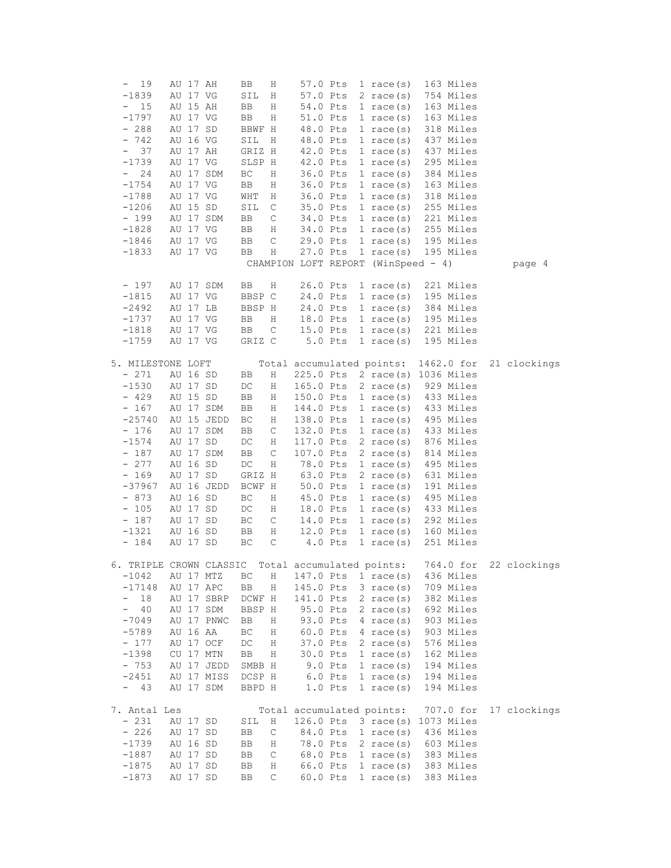|                          | 19                      |          | AU 17 AH |            | BB       | Η           | 57.0 Pts  |           | $1 \text{ race}(s)$                 | 163 Miles               |              |
|--------------------------|-------------------------|----------|----------|------------|----------|-------------|-----------|-----------|-------------------------------------|-------------------------|--------------|
|                          | $-1839$                 |          | AU 17 VG |            | SIL      | Η           | 57.0 Pts  |           | 2 race $(s)$                        | 754 Miles               |              |
| $-$                      | 15                      | AU 15 AH |          |            | BB       | Η           | 54.0 Pts  |           | 1 race $(s)$                        | 163 Miles               |              |
|                          | $-1797$                 | AU 17 VG |          |            | BB       | Η           | 51.0 Pts  |           | $1 \text{ race}(s)$                 | 163 Miles               |              |
|                          | $-288$                  | AU 17 SD |          |            | BBWF H   |             | 48.0 Pts  |           | $1 \text{ race}(s)$                 | 318 Miles               |              |
|                          | $-742$                  | AU 16 VG |          |            | SIL      | Η           | 48.0 Pts  |           | 1 race $(s)$                        | 437 Miles               |              |
| $\overline{\phantom{a}}$ | 37                      | AU 17 AH |          |            | GRIZ H   |             | 42.0 Pts  |           | 1 race $(s)$                        | 437 Miles               |              |
|                          | $-1739$                 | AU 17 VG |          |            | SLSP H   |             | 42.0 Pts  |           | $1 \text{ race}(s)$                 | 295 Miles               |              |
| $\overline{\phantom{0}}$ | 24                      |          |          | AU 17 SDM  | ВC       | Η           | 36.0 Pts  |           | $1 \text{ race}(s)$                 | 384 Miles               |              |
|                          | $-1754$                 | AU 17 VG |          |            | BB       | Η           | 36.0 Pts  |           | 1 race(s)                           | 163 Miles               |              |
|                          | $-1788$                 | AU 17 VG |          |            | WHT      | Η           | 36.0 Pts  |           | $1 \text{ race}(s)$                 | 318 Miles               |              |
|                          | $-1206$                 | AU 15 SD |          |            | SIL      | $\mathsf C$ | 35.0 Pts  |           | $1 \text{ race}(s)$                 | 255 Miles               |              |
|                          | $-199$                  |          |          | AU 17 SDM  | BB       | С           | 34.0 Pts  |           | $1 \text{ race}(s)$                 | 221 Miles               |              |
|                          | $-1828$                 | AU 17 VG |          |            | BB       | Η           | 34.0 Pts  |           | $1 \text{ race}(s)$                 | 255 Miles               |              |
|                          | $-1846$                 | AU 17 VG |          |            | BB       | C           | 29.0 Pts  |           | 1 race(s) 195 Miles                 |                         |              |
|                          | $-1833$                 |          | AU 17 VG |            | BB       | Η           | 27.0 Pts  |           | $1 \text{ race(s)}$                 | 195 Miles               |              |
|                          |                         |          |          |            |          |             |           |           | CHAMPION LOFT REPORT (WinSpeed - 4) |                         | page 4       |
|                          |                         |          |          |            |          |             |           |           |                                     |                         |              |
|                          | $-197$                  |          |          | AU 17 SDM  | BB       | Η           | 26.0 Pts  |           | 1 race(s)                           | 221 Miles               |              |
|                          | $-1815$                 | AU 17 VG |          |            | BBSP C   |             | 24.0 Pts  |           | 1 race $(s)$                        | 195 Miles               |              |
|                          | $-2492$                 | AU 17 LB |          |            | BBSP H   |             | 24.0 Pts  |           | $1 \text{ race}(s)$                 | 384 Miles               |              |
|                          | $-1737$                 | AU 17 VG |          |            | BB       | Η           | 18.0 Pts  |           | $1 \text{ race}(s)$                 | 195 Miles               |              |
|                          | $-1818$                 | AU 17 VG |          |            | BB       | С           | 15.0 Pts  |           | $1 \text{ race}(s)$                 | 221 Miles               |              |
|                          | $-1759$                 | AU 17 VG |          |            | GRIZ C   |             |           | 5.0 Pts   | $1 \text{ race}(s)$                 | 195 Miles               |              |
|                          |                         |          |          |            |          |             |           |           |                                     |                         |              |
|                          | 5. MILESTONE LOFT       |          |          |            |          |             |           |           | Total accumulated points:           | 1462.0 for              | 21 clockings |
|                          | $-271$                  | AU 16 SD |          |            | BB       | Η           |           |           | 225.0 Pts 2 race(s) 1036 Miles      |                         |              |
|                          | $-1530$                 | AU 17 SD |          |            | DC       | Η           | 165.0 Pts |           | 2 race(s) 929 Miles                 |                         |              |
|                          | $-429$                  | AU 15 SD |          |            | BB       | Η           | 150.0 Pts |           | $1 \text{ race}(s)$                 | 433 Miles               |              |
|                          | $-167$                  |          |          | AU 17 SDM  | BB       | Η           | 144.0 Pts |           | 1 race $(s)$                        | 433 Miles               |              |
|                          | $-25740$                |          |          | AU 15 JEDD | ВC       | Η           | 138.0 Pts |           | $1 \text{ race}(s)$                 | 495 Miles               |              |
|                          | $-176$                  |          |          | AU 17 SDM  | BB       | С           | 132.0 Pts |           | $1 \text{ race(s)}$                 | 433 Miles               |              |
|                          | $-1574$                 | AU 17 SD |          |            | DC       | Η           | 117.0 Pts |           | 2 race(s)                           | 876 Miles               |              |
|                          | $-187$                  |          |          | AU 17 SDM  | BB       | С           | 107.0 Pts |           | $2 \text{ race(s)}$                 | 814 Miles               |              |
|                          | $-277$                  | AU 16 SD |          |            | DC       | Η           | 78.0 Pts  |           | $1 \text{ race}(s)$                 | 495 Miles               |              |
|                          | $-169$                  | AU 17 SD |          |            | GRIZ H   |             | 63.0 Pts  |           | 2 race(s)                           | 631 Miles               |              |
|                          | $-37967$                |          |          | AU 16 JEDD | BCWF H   |             | 50.0 Pts  |           | 1 race $(s)$                        | 191 Miles               |              |
|                          | $-873$                  | AU 16 SD |          |            | ВC       | Η           | 45.0 Pts  |           | $1 \text{ race}(s)$                 | 495 Miles               |              |
|                          | $-105$                  | AU 17 SD |          |            | DC       | Η           | 18.0 Pts  |           | 1 race(s)                           | 433 Miles               |              |
|                          | $-187$                  |          | AU 17 SD |            | ВC       | C           | 14.0 Pts  |           | $1 \text{ race}(s)$                 | 292 Miles               |              |
|                          | -1321                   | AU 16 SD |          |            | BB       | Η           | 12.0 Pts  |           | 1 race $(s)$                        | 160 Miles               |              |
|                          | $-184$                  | AU 17 SD |          |            | ВC       | С           |           | $4.0$ Pts | $1 \text{ race}(s)$                 | 251 Miles               |              |
|                          |                         |          |          |            |          |             |           |           |                                     |                         |              |
|                          | 6. TRIPLE CROWN CLASSIC |          |          |            |          |             |           |           | Total accumulated points:           | 764.0 for               | 22 clockings |
|                          | $-1042$                 |          |          | AU 17 MTZ  | BC       | Η           | 147.0 Pts |           | $1 \text{ race}(s)$                 | 436 Miles               |              |
|                          | $-17148$                |          |          | AU 17 APC  | BB       | Η           | 145.0 Pts |           | $3 \text{ race}(s)$                 | 709 Miles               |              |
|                          | 18                      |          |          | AU 17 SBRP | DCWF H   |             | 141.0 Pts |           | $2 \text{ race}(s)$                 | 382 Miles               |              |
| $\qquad \qquad -$        | 40                      |          |          | AU 17 SDM  | BBSP H   |             | 95.0 Pts  |           | $2 \text{ race}(s)$                 | 692 Miles               |              |
|                          | -7049                   |          |          | AU 17 PNWC | BB       | Η           | 93.0 Pts  |           | $4 \text{ race}(s)$                 | 903 Miles               |              |
|                          | $-5789$                 |          | AU 16 AA |            | ВC       | Η           | 60.0 Pts  |           | $4 \text{ race}(s)$                 | 903 Miles               |              |
|                          | $-177$                  |          |          | AU 17 OCF  | DC       | Η           | 37.0 Pts  |           | $2 \text{ race}(s)$                 | 576 Miles               |              |
|                          | $-1398$                 |          |          | CU 17 MTN  | BB       | Η           | 30.0 Pts  |           | 1 race $(s)$                        | 162 Miles               |              |
|                          | $-753$                  |          |          | AU 17 JEDD | SMBB H   |             |           | $9.0$ Pts | 1 race $(s)$                        | 194 Miles               |              |
|                          | $-2451$                 |          |          | AU 17 MISS | DCSP H   |             |           | $6.0$ Pts | 1 race $(s)$                        | 194 Miles               |              |
|                          | 43                      |          |          | AU 17 SDM  | BBPD H   |             |           | 1.0 Pts   | $1 \text{ race}(s)$                 | 194 Miles               |              |
|                          |                         |          |          |            |          |             |           |           | Total accumulated points:           |                         |              |
|                          | 7. Antal Les<br>$-231$  | AU 17 SD |          |            | SIL      | $\rm H$     | 126.0 Pts |           | $3 \text{ race}(s)$                 | 707.0 for<br>1073 Miles | 17 clockings |
|                          | $-226$                  | AU 17 SD |          |            | BB       | С           | 84.0 Pts  |           | 1 race $(s)$                        | 436 Miles               |              |
|                          | $-1739$                 | AU 16 SD |          |            | BB       | Η           | 78.0 Pts  |           | $2 \text{ race}(s)$                 | 603 Miles               |              |
|                          | $-1887$                 | AU 17 SD |          |            |          |             | 68.0 Pts  |           | $1$ race (s)                        | 383 Miles               |              |
|                          | $-1875$                 | AU 17 SD |          |            | BB<br>BB | С<br>Η      | 66.0 Pts  |           | 1 race $(s)$                        | 383 Miles               |              |
|                          | $-1873$                 |          | AU 17 SD |            | BB       | С           | 60.0 Pts  |           | $1 \text{ race}(s)$                 | 383 Miles               |              |
|                          |                         |          |          |            |          |             |           |           |                                     |                         |              |